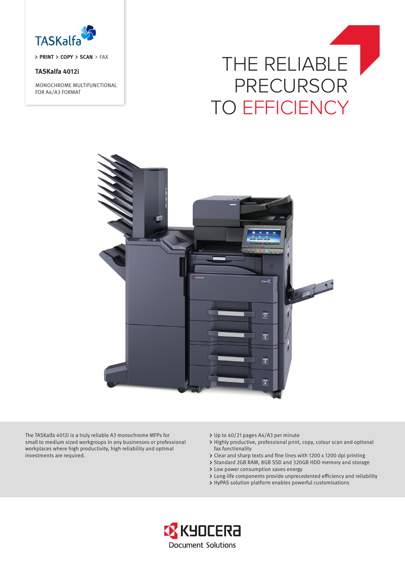

**PRINT > COPY > SCAN > FAX** 

# **TASKalfa 4012i**

MONOCHROME MULTIFUNCTIONAL FOR A4/A3 FORMAT

# THE RELIABLE PRECURSOR TO EFFICIENCY



The TASKalfa 4012i is a truly reliable A3 monochrome MFPs for small to medium sized workgroups in any businesses or professional workplaces where high productivity, high reliability and optimal investments are required.

- Up to 40/21 pages A4/A3 per minute
- Highly productive, professional print, copy, colour scan and optional fax functionality
- Clear and sharp texts and fine lines with 1200 x 1200 dpi printing
- > Standard 2GB RAM, 8GB SSD and 320GB HDD memory and storage
- Low power consumption saves energy
- Long-life components provide unprecedented efficiency and reliability
- HyPAS solution platform enables powerful customisations